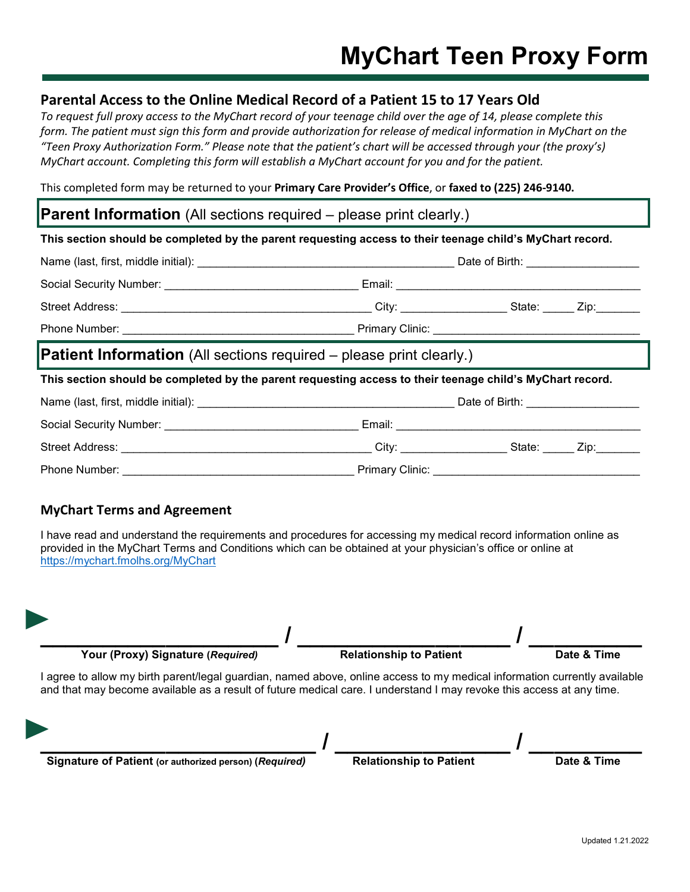## **Parental Access to the Online Medical Record of a Patient 15 to 17 Years Old**

*To request full proxy access to the MyChart record of your teenage child over the age of 14, please complete this form. The patient must sign this form and provide authorization for release of medical information in MyChart on the "Teen Proxy Authorization Form." Please note that the patient's chart will be accessed through your (the proxy's) MyChart account. Completing this form will establish a MyChart account for you and for the patient.*

This completed form may be returned to your **Primary Care Provider's Office**, or **faxed to (225) 246-9140.**

### **Parent Information** (All sections required – please print clearly.)

Phone Number: \_\_\_\_\_\_\_\_\_\_\_\_\_\_\_\_\_\_\_\_\_\_\_\_\_\_\_\_\_\_\_\_\_\_\_\_\_ Primary Clinic: \_\_\_\_\_\_\_\_\_\_\_\_\_\_\_\_\_\_\_\_\_\_\_\_\_\_\_\_\_\_\_\_\_

### **This section should be completed by the parent requesting access to their teenage child's MyChart record.**

|                                                                                                           |                          | Date of Birth: ______________________ |      |
|-----------------------------------------------------------------------------------------------------------|--------------------------|---------------------------------------|------|
| Social Security Number: __________________________________Email: ________________                         |                          |                                       |      |
|                                                                                                           |                          |                                       |      |
|                                                                                                           |                          |                                       |      |
| <b>Patient Information</b> (All sections required – please print clearly.)                                |                          |                                       |      |
| This section should be completed by the parent requesting access to their teenage child's MyChart record. |                          |                                       |      |
|                                                                                                           |                          |                                       |      |
|                                                                                                           |                          |                                       |      |
|                                                                                                           | City: __________________ | State:                                | Zip: |

# **MyChart Terms and Agreement**

I have read and understand the requirements and procedures for accessing my medical record information online as provided in the MyChart Terms and Conditions which can be obtained at your physician's office or online at <https://mychart.fmolhs.org/MyChart>



I agree to allow my birth parent/legal guardian, named above, online access to my medical information currently available and that may become available as a result of future medical care. I understand I may revoke this access at any time.